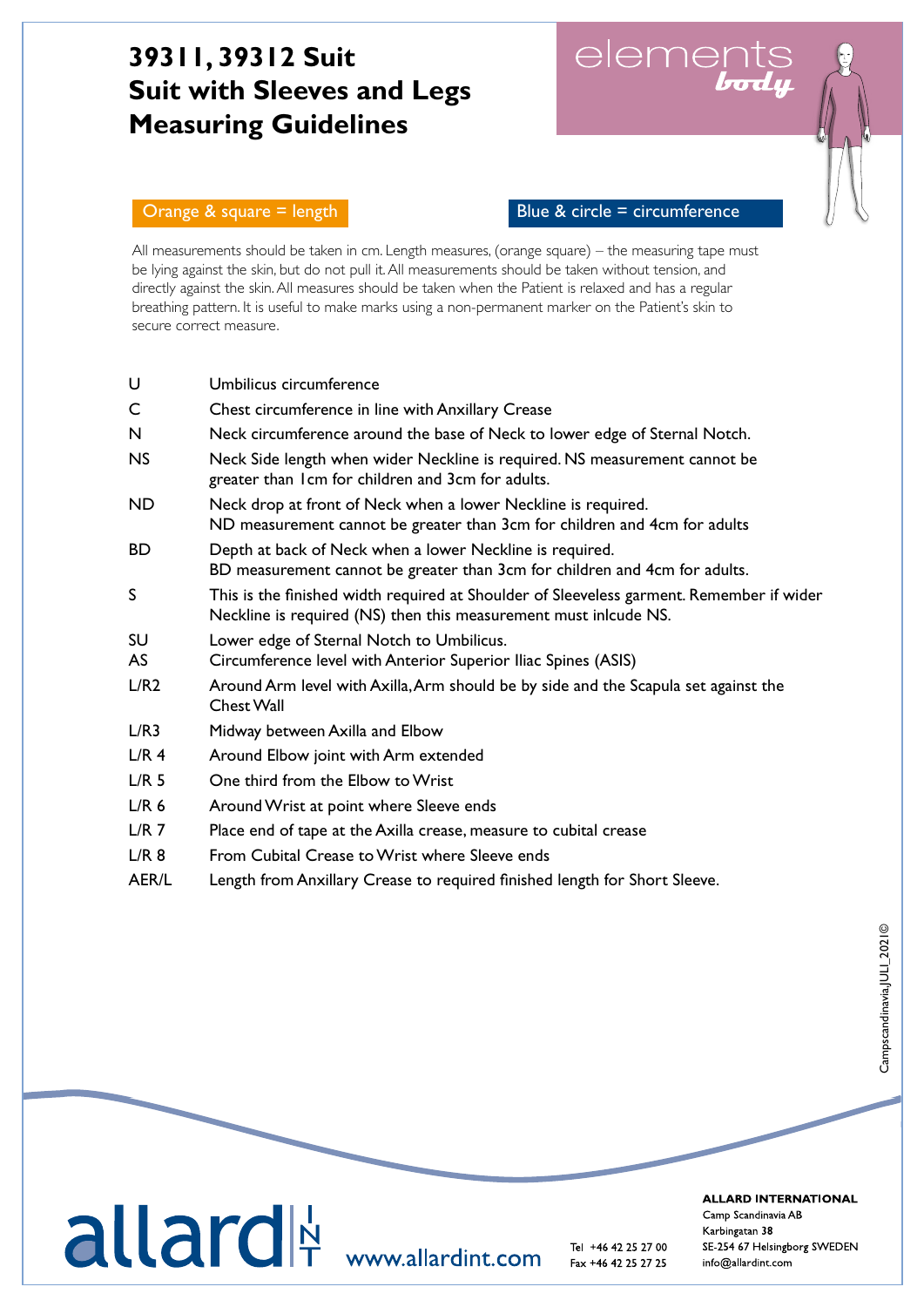# **39311, 39312 Suit Suit with Sleeves and Legs Measuring Guidelines**

elements<br>**body** 

Orange  $\&$  square = length  $\qquad$  Blue  $\&$  circle = circumference

All measurements should be taken in cm. Length measures, (orange square) – the measuring tape must be lying against the skin, but do not pull it. All measurements should be taken without tension, and directly against the skin. All measures should be taken when the Patient is relaxed and has a regular breathing pattern. It is useful to make marks using a non-permanent marker on the Patient's skin to secure correct measure.

| U                | Umbilicus circumference                                                                                                                                      |
|------------------|--------------------------------------------------------------------------------------------------------------------------------------------------------------|
| C                | Chest circumference in line with Anxillary Crease                                                                                                            |
| N                | Neck circumference around the base of Neck to lower edge of Sternal Notch.                                                                                   |
| <b>NS</b>        | Neck Side length when wider Neckline is required. NS measurement cannot be<br>greater than I cm for children and 3cm for adults.                             |
| <b>ND</b>        | Neck drop at front of Neck when a lower Neckline is required.<br>ND measurement cannot be greater than 3cm for children and 4cm for adults                   |
| BD               | Depth at back of Neck when a lower Neckline is required.<br>BD measurement cannot be greater than 3cm for children and 4cm for adults.                       |
| S                | This is the finished width required at Shoulder of Sleeveless garment. Remember if wider<br>Neckline is required (NS) then this measurement must inlcude NS. |
| SU<br>AS         | Lower edge of Sternal Notch to Umbilicus.<br>Circumference level with Anterior Superior Iliac Spines (ASIS)                                                  |
| L/R2             | Around Arm level with Axilla, Arm should be by side and the Scapula set against the<br>Chest Wall                                                            |
| L/R3             | Midway between Axilla and Elbow                                                                                                                              |
| L/R <sub>4</sub> | Around Elbow joint with Arm extended                                                                                                                         |
| L/R <sub>5</sub> | One third from the Elbow to Wrist                                                                                                                            |
| L/R <sub>6</sub> | Around Wrist at point where Sleeve ends                                                                                                                      |
| L/R <sub>7</sub> | Place end of tape at the Axilla crease, measure to cubital crease                                                                                            |
| L/R <sub>8</sub> | From Cubital Crease to Wrist where Sleeve ends                                                                                                               |

AER/L Length from Anxillary Crease to required finished length for Short Sleeve.



**ALLARD INTERNATIONAL**